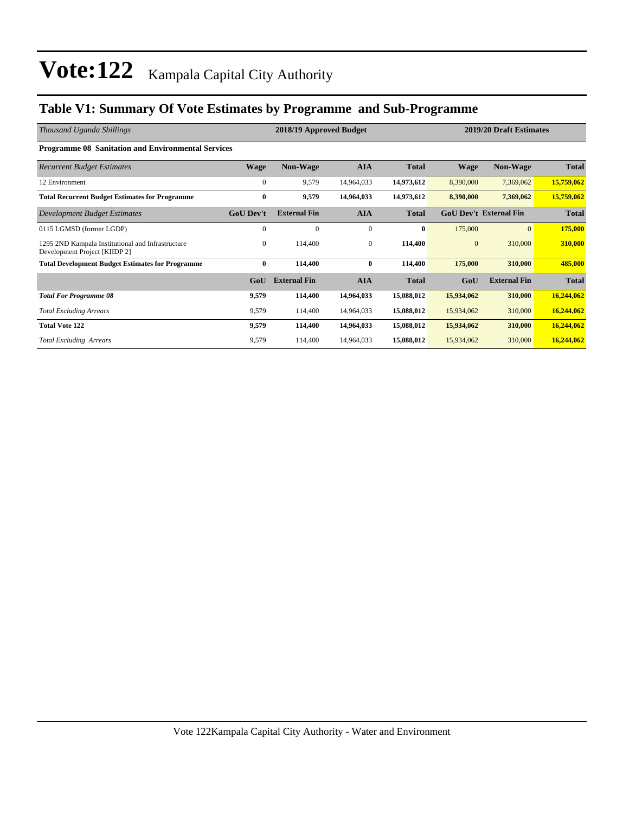### **Table V1: Summary Of Vote Estimates by Programme and Sub-Programme**

| Thousand Uganda Shillings                                                          | 2018/19 Approved Budget |                     |                |              | 2019/20 Draft Estimates |                               |              |  |
|------------------------------------------------------------------------------------|-------------------------|---------------------|----------------|--------------|-------------------------|-------------------------------|--------------|--|
| <b>Programme 08 Sanitation and Environmental Services</b>                          |                         |                     |                |              |                         |                               |              |  |
| <b>Recurrent Budget Estimates</b>                                                  | <b>Wage</b>             | <b>Non-Wage</b>     | <b>AIA</b>     | <b>Total</b> | Wage                    | <b>Non-Wage</b>               | Total        |  |
| 12 Environment                                                                     | $\mathbf{0}$            | 9,579               | 14,964,033     | 14,973,612   | 8,390,000               | 7,369,062                     | 15,759,062   |  |
| <b>Total Recurrent Budget Estimates for Programme</b>                              | $\bf{0}$                | 9,579               | 14,964,033     | 14,973,612   | 8,390,000               | 7,369,062                     | 15,759,062   |  |
| Development Budget Estimates                                                       | <b>GoU Dev't</b>        | <b>External Fin</b> | <b>AIA</b>     | <b>Total</b> |                         | <b>GoU Dev't External Fin</b> | <b>Total</b> |  |
| 0115 LGMSD (former LGDP)                                                           | $\mathbf{0}$            | $\mathbf{0}$        | $\overline{0}$ | $\bf{0}$     | 175,000                 | $\overline{0}$                | 175,000      |  |
| 1295 2ND Kampala Institutional and Infrastructure<br>Development Project [KIIDP 2] | $\mathbf{0}$            | 114,400             | $\mathbf{0}$   | 114,400      | $\mathbf{0}$            | 310,000                       | 310,000      |  |
| <b>Total Development Budget Estimates for Programme</b>                            | $\bf{0}$                | 114,400             | $\bf{0}$       | 114,400      | 175,000                 | 310,000                       | 485,000      |  |
|                                                                                    | GoU                     | <b>External Fin</b> | <b>AIA</b>     | <b>Total</b> | GoU                     | <b>External Fin</b>           | <b>Total</b> |  |
| <b>Total For Programme 08</b>                                                      | 9,579                   | 114,400             | 14,964,033     | 15,088,012   | 15,934,062              | 310,000                       | 16,244,062   |  |
| <b>Total Excluding Arrears</b>                                                     | 9,579                   | 114,400             | 14,964,033     | 15,088,012   | 15,934,062              | 310,000                       | 16,244,062   |  |
| <b>Total Vote 122</b>                                                              | 9,579                   | 114,400             | 14,964,033     | 15,088,012   | 15,934,062              | 310,000                       | 16,244,062   |  |
| <b>Total Excluding Arrears</b>                                                     | 9,579                   | 114,400             | 14,964,033     | 15,088,012   | 15,934,062              | 310,000                       | 16,244,062   |  |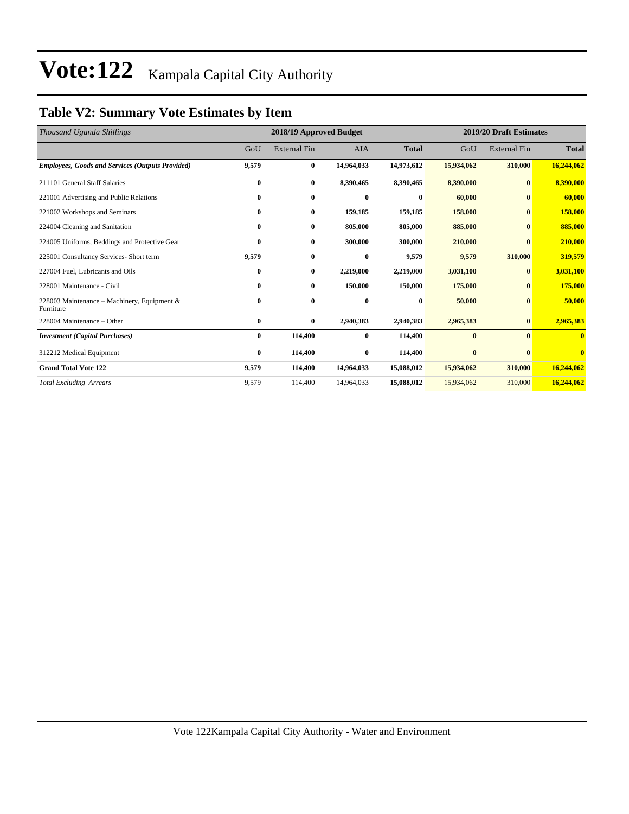### **Table V2: Summary Vote Estimates by Item**

| Thousand Uganda Shillings                                |          | 2018/19 Approved Budget |              | 2019/20 Draft Estimates |            |                     |              |
|----------------------------------------------------------|----------|-------------------------|--------------|-------------------------|------------|---------------------|--------------|
|                                                          | GoU      | <b>External Fin</b>     | <b>AIA</b>   | <b>Total</b>            | GoU        | <b>External Fin</b> | <b>Total</b> |
| <b>Employees, Goods and Services (Outputs Provided)</b>  | 9,579    | $\bf{0}$                | 14,964,033   | 14,973,612              | 15,934,062 | 310,000             | 16,244,062   |
| 211101 General Staff Salaries                            | 0        | $\bf{0}$                | 8,390,465    | 8,390,465               | 8,390,000  | $\bf{0}$            | 8,390,000    |
| 221001 Advertising and Public Relations                  | 0        | $\bf{0}$                | $\mathbf{0}$ | 0                       | 60,000     | $\mathbf{0}$        | 60,000       |
| 221002 Workshops and Seminars                            | 0        | $\bf{0}$                | 159,185      | 159,185                 | 158,000    | $\bf{0}$            | 158,000      |
| 224004 Cleaning and Sanitation                           | 0        | $\bf{0}$                | 805,000      | 805,000                 | 885,000    | $\mathbf{0}$        | 885,000      |
| 224005 Uniforms, Beddings and Protective Gear            | $\bf{0}$ | $\bf{0}$                | 300,000      | 300,000                 | 210,000    | $\mathbf{0}$        | 210,000      |
| 225001 Consultancy Services- Short term                  | 9,579    | $\bf{0}$                | $\bf{0}$     | 9,579                   | 9,579      | 310,000             | 319,579      |
| 227004 Fuel, Lubricants and Oils                         | 0        | $\bf{0}$                | 2,219,000    | 2,219,000               | 3,031,100  | $\bf{0}$            | 3,031,100    |
| 228001 Maintenance - Civil                               | 0        | $\bf{0}$                | 150,000      | 150,000                 | 175,000    | $\bf{0}$            | 175,000      |
| 228003 Maintenance – Machinery, Equipment &<br>Furniture | 0        | $\bf{0}$                | $\bf{0}$     | $\bf{0}$                | 50,000     | $\bf{0}$            | 50,000       |
| 228004 Maintenance – Other                               | 0        | $\bf{0}$                | 2,940,383    | 2,940,383               | 2,965,383  | $\bf{0}$            | 2,965,383    |
| <b>Investment</b> (Capital Purchases)                    | 0        | 114,400                 | $\bf{0}$     | 114,400                 | $\bf{0}$   | $\mathbf{0}$        | $\mathbf{0}$ |
| 312212 Medical Equipment                                 | 0        | 114,400                 | $\bf{0}$     | 114,400                 | $\bf{0}$   | $\mathbf{0}$        | $\mathbf{0}$ |
| <b>Grand Total Vote 122</b>                              | 9,579    | 114.400                 | 14,964,033   | 15,088,012              | 15,934,062 | 310,000             | 16,244,062   |
| <b>Total Excluding Arrears</b>                           | 9,579    | 114,400                 | 14,964,033   | 15,088,012              | 15,934,062 | 310,000             | 16,244,062   |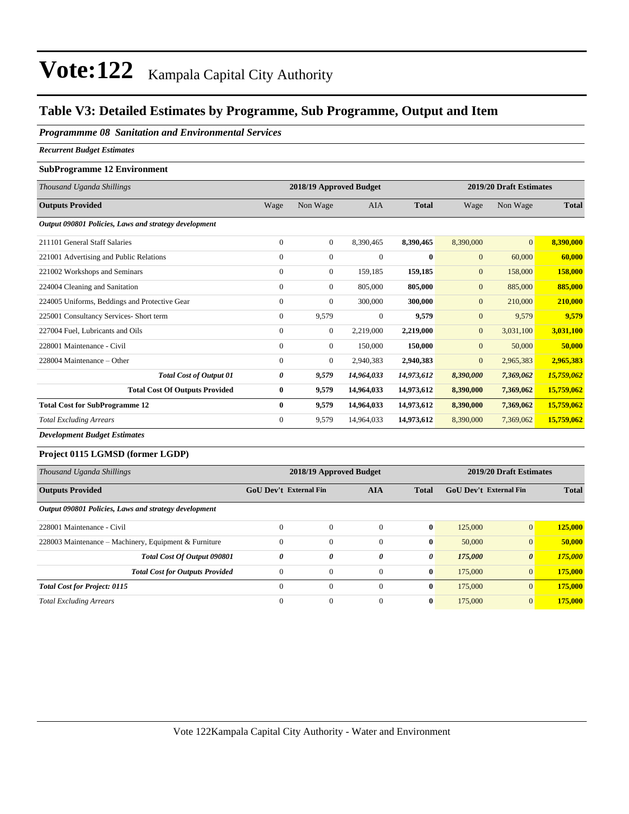### **Table V3: Detailed Estimates by Programme, Sub Programme, Output and Item**

#### *Programmme 08 Sanitation and Environmental Services*

*Recurrent Budget Estimates*

#### **SubProgramme 12 Environment**

| Thousand Uganda Shillings                             | 2018/19 Approved Budget |                |              | 2019/20 Draft Estimates |              |              |              |
|-------------------------------------------------------|-------------------------|----------------|--------------|-------------------------|--------------|--------------|--------------|
| <b>Outputs Provided</b>                               | Wage                    | Non Wage       | <b>AIA</b>   | <b>Total</b>            | Wage         | Non Wage     | <b>Total</b> |
| Output 090801 Policies, Laws and strategy development |                         |                |              |                         |              |              |              |
| 211101 General Staff Salaries                         | $\mathbf{0}$            | $\overline{0}$ | 8,390,465    | 8,390,465               | 8,390,000    | $\mathbf{0}$ | 8,390,000    |
| 221001 Advertising and Public Relations               | $\mathbf{0}$            | $\overline{0}$ | $\Omega$     | $\mathbf{0}$            | $\mathbf{0}$ | 60,000       | 60,000       |
| 221002 Workshops and Seminars                         | $\mathbf{0}$            | $\overline{0}$ | 159,185      | 159,185                 | $\mathbf{0}$ | 158,000      | 158,000      |
| 224004 Cleaning and Sanitation                        | $\mathbf{0}$            | $\overline{0}$ | 805,000      | 805,000                 | $\mathbf{0}$ | 885,000      | 885,000      |
| 224005 Uniforms, Beddings and Protective Gear         | $\mathbf{0}$            | $\overline{0}$ | 300,000      | 300,000                 | $\mathbf{0}$ | 210,000      | 210,000      |
| 225001 Consultancy Services- Short term               | $\mathbf{0}$            | 9,579          | $\mathbf{0}$ | 9,579                   | $\mathbf{0}$ | 9,579        | 9,579        |
| 227004 Fuel, Lubricants and Oils                      | $\mathbf{0}$            | $\mathbf{0}$   | 2,219,000    | 2,219,000               | $\mathbf{0}$ | 3,031,100    | 3,031,100    |
| 228001 Maintenance - Civil                            | $\Omega$                | $\mathbf{0}$   | 150,000      | 150,000                 | $\mathbf{0}$ | 50,000       | 50,000       |
| 228004 Maintenance – Other                            | $\mathbf{0}$            | $\mathbf{0}$   | 2,940,383    | 2,940,383               | $\mathbf{0}$ | 2,965,383    | 2,965,383    |
| <b>Total Cost of Output 01</b>                        | 0                       | 9,579          | 14,964,033   | 14,973,612              | 8,390,000    | 7,369,062    | 15,759,062   |
| <b>Total Cost Of Outputs Provided</b>                 | $\bf{0}$                | 9,579          | 14,964,033   | 14,973,612              | 8,390,000    | 7,369,062    | 15,759,062   |
| <b>Total Cost for SubProgramme 12</b>                 | $\bf{0}$                | 9,579          | 14,964,033   | 14,973,612              | 8,390,000    | 7,369,062    | 15,759,062   |
| <b>Total Excluding Arrears</b>                        | $\mathbf{0}$            | 9,579          | 14,964,033   | 14,973,612              | 8,390,000    | 7,369,062    | 15,759,062   |
| <b>Development Budget Estimates</b>                   |                         |                |              |                         |              |              |              |

### **Project 0115 LGMSD (former LGDP)**

| Thousand Uganda Shillings                             | 2018/19 Approved Budget       |              |              |              | 2019/20 Draft Estimates       |                       |              |
|-------------------------------------------------------|-------------------------------|--------------|--------------|--------------|-------------------------------|-----------------------|--------------|
| <b>Outputs Provided</b>                               | <b>GoU Dev't External Fin</b> |              | <b>AIA</b>   | <b>Total</b> | <b>GoU</b> Dev't External Fin |                       | <b>Total</b> |
| Output 090801 Policies, Laws and strategy development |                               |              |              |              |                               |                       |              |
| 228001 Maintenance - Civil                            | $\Omega$                      | $\mathbf{0}$ | $\Omega$     | $\mathbf{0}$ | 125,000                       | $\vert 0 \vert$       | 125,000      |
| 228003 Maintenance – Machinery, Equipment & Furniture | $\Omega$                      | $\mathbf{0}$ | $\Omega$     | $\bf{0}$     | 50,000                        | $\vert 0 \vert$       | 50,000       |
| Total Cost Of Output 090801                           | $\theta$                      | 0            | 0            | 0            | 175,000                       | $\boldsymbol{\theta}$ | 175,000      |
| <b>Total Cost for Outputs Provided</b>                | $\Omega$                      | $\mathbf{0}$ | $\Omega$     | $\bf{0}$     | 175,000                       | $\vert 0 \vert$       | 175,000      |
| <b>Total Cost for Project: 0115</b>                   | $\Omega$                      | $\Omega$     | $\Omega$     | $\mathbf{0}$ | 175,000                       | $\vert 0 \vert$       | 175,000      |
| <b>Total Excluding Arrears</b>                        | $\Omega$                      | $\mathbf{0}$ | $\mathbf{0}$ | $\bf{0}$     | 175,000                       | $\vert 0 \vert$       | 175,000      |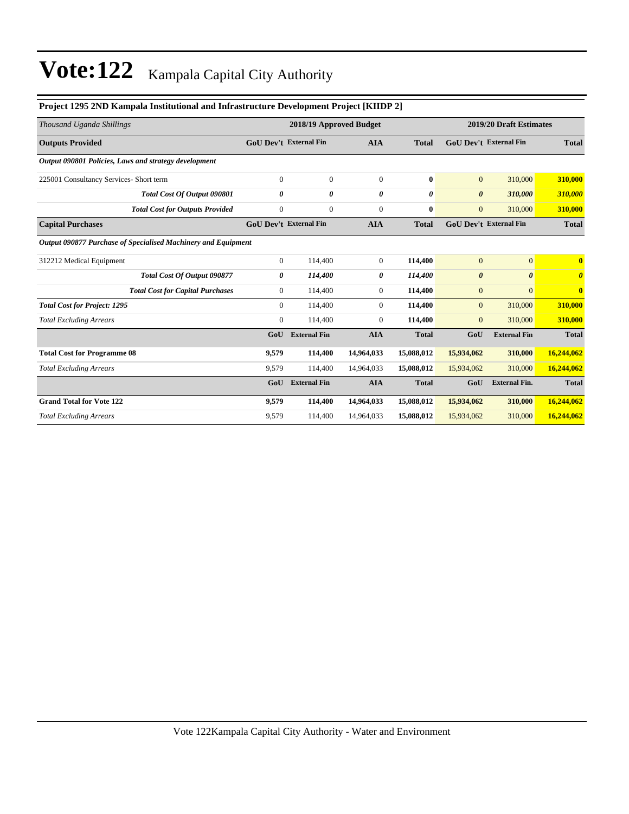| TT0JCG 1275 21\D IXampaia Institutional and Initiastructure Development IT0JCG   IXIIDT 2 |                                             |                               |                |                               |                               |                       |                       |
|-------------------------------------------------------------------------------------------|---------------------------------------------|-------------------------------|----------------|-------------------------------|-------------------------------|-----------------------|-----------------------|
| Thousand Uganda Shillings                                                                 |                                             | 2018/19 Approved Budget       |                | 2019/20 Draft Estimates       |                               |                       |                       |
| <b>Outputs Provided</b>                                                                   | <b>GoU Dev't External Fin</b><br><b>AIA</b> |                               | <b>Total</b>   | <b>GoU Dev't External Fin</b> |                               | <b>Total</b>          |                       |
| Output 090801 Policies, Laws and strategy development                                     |                                             |                               |                |                               |                               |                       |                       |
| 225001 Consultancy Services- Short term                                                   | $\overline{0}$                              | $\mathbf{0}$                  | $\overline{0}$ | $\bf{0}$                      | $\mathbf{0}$                  | 310,000               | 310,000               |
| Total Cost Of Output 090801                                                               | 0                                           | 0                             | 0              | 0                             | $\boldsymbol{\theta}$         | 310,000               | 310,000               |
| <b>Total Cost for Outputs Provided</b>                                                    | $\overline{0}$                              | $\mathbf{0}$                  | $\mathbf{0}$   | $\bf{0}$                      | $\mathbf{0}$                  | 310,000               | 310,000               |
| <b>Capital Purchases</b>                                                                  |                                             | <b>GoU Dev't External Fin</b> | <b>AIA</b>     | <b>Total</b>                  | <b>GoU Dev't External Fin</b> |                       | <b>Total</b>          |
| Output 090877 Purchase of Specialised Machinery and Equipment                             |                                             |                               |                |                               |                               |                       |                       |
| 312212 Medical Equipment                                                                  | $\overline{0}$                              | 114,400                       | $\overline{0}$ | 114,400                       | $\mathbf{0}$                  | $\overline{0}$        | $\bf{0}$              |
| <b>Total Cost Of Output 090877</b>                                                        | 0                                           | 114,400                       | 0              | 114,400                       | $\boldsymbol{\theta}$         | $\boldsymbol{\theta}$ | $\boldsymbol{\theta}$ |
| <b>Total Cost for Capital Purchases</b>                                                   | $\overline{0}$                              | 114,400                       | $\overline{0}$ | 114,400                       | $\mathbf{0}$                  | $\Omega$              | $\bf{0}$              |
| <b>Total Cost for Project: 1295</b>                                                       | $\Omega$                                    | 114,400                       | $\Omega$       | 114,400                       | $\mathbf{0}$                  | 310,000               | 310,000               |
| <b>Total Excluding Arrears</b>                                                            | $\overline{0}$                              | 114,400                       | $\overline{0}$ | 114,400                       | $\mathbf{0}$                  | 310,000               | 310,000               |
|                                                                                           | GoU                                         | <b>External Fin</b>           | <b>AIA</b>     | <b>Total</b>                  | GoU                           | <b>External Fin</b>   | <b>Total</b>          |
| <b>Total Cost for Programme 08</b>                                                        | 9,579                                       | 114,400                       | 14,964,033     | 15,088,012                    | 15,934,062                    | 310,000               | 16,244,062            |
| <b>Total Excluding Arrears</b>                                                            | 9,579                                       | 114,400                       | 14,964,033     | 15,088,012                    | 15,934,062                    | 310,000               | 16,244,062            |
|                                                                                           | GoU                                         | <b>External Fin</b>           | <b>AIA</b>     | <b>Total</b>                  | GoU                           | <b>External Fin.</b>  | <b>Total</b>          |
| <b>Grand Total for Vote 122</b>                                                           | 9,579                                       | 114,400                       | 14,964,033     | 15,088,012                    | 15,934,062                    | 310,000               | 16,244,062            |
| <b>Total Excluding Arrears</b>                                                            | 9,579                                       | 114,400                       | 14,964,033     | 15,088,012                    | 15,934,062                    | 310,000               | 16,244,062            |

#### **Project 1295 2ND Kampala Institutional and Infrastructure Development Project [KIIDP 2]**